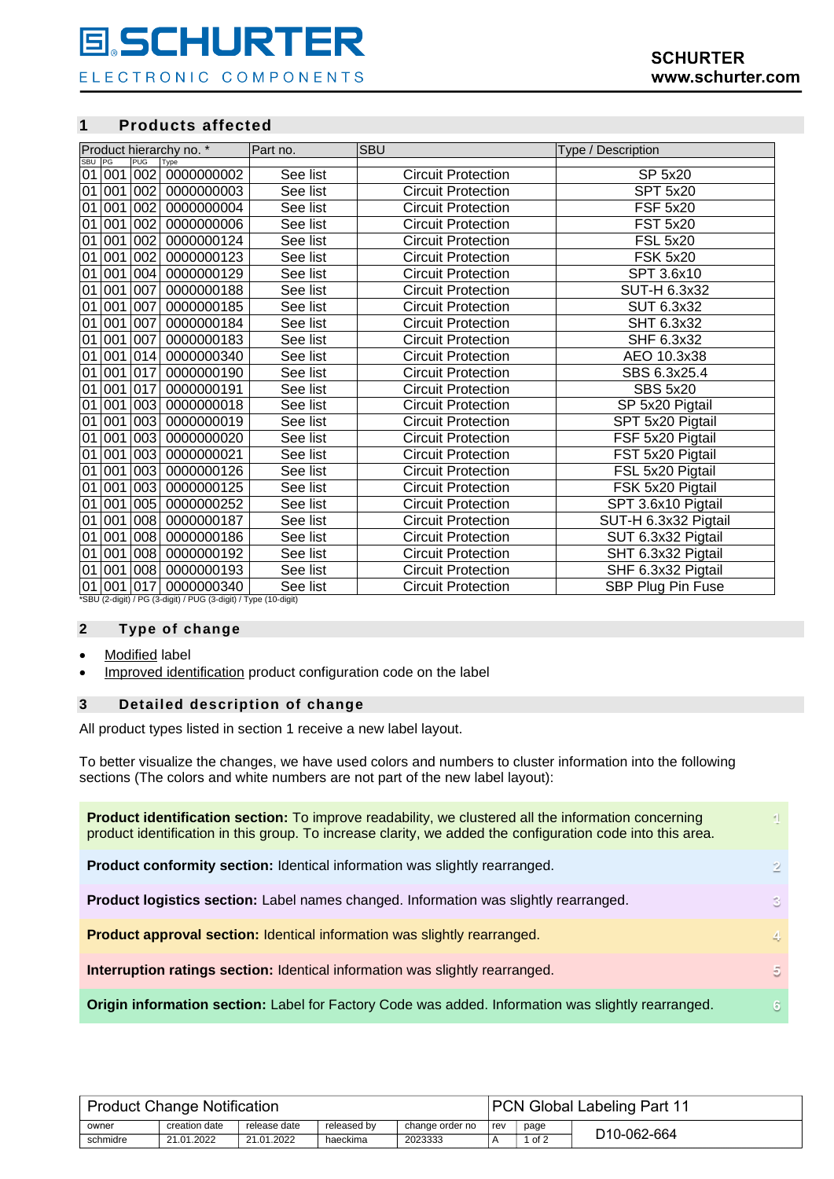# **E.SCHURTER**

ELECTRONIC COMPONENTS

### **1 Products affected**

| Product hierarchy no. * |     |            |                                                                                 | Part no. | <b>SBU</b>                | Type / Description   |
|-------------------------|-----|------------|---------------------------------------------------------------------------------|----------|---------------------------|----------------------|
| SBU                     | PG  | <b>PUG</b> | Type                                                                            |          |                           |                      |
| 01                      | 001 | 002        | 0000000002                                                                      | See list | <b>Circuit Protection</b> | SP 5x20              |
| 01                      | 001 | 002        | 0000000003                                                                      | See list | <b>Circuit Protection</b> | <b>SPT 5x20</b>      |
| 01                      | 001 | 002        | 0000000004                                                                      | See list | <b>Circuit Protection</b> | <b>FSF 5x20</b>      |
| 01                      | 001 | 002        | 0000000006                                                                      | See list | <b>Circuit Protection</b> | <b>FST 5x20</b>      |
| 01                      | 001 | 002        | 0000000124                                                                      | See list | <b>Circuit Protection</b> | <b>FSL 5x20</b>      |
| 01                      | 001 | 002        | 0000000123                                                                      | See list | <b>Circuit Protection</b> | <b>FSK 5x20</b>      |
| 01                      | 001 | 004        | 0000000129                                                                      | See list | <b>Circuit Protection</b> | SPT 3.6x10           |
| 01                      | 001 | 007        | 0000000188                                                                      | See list | <b>Circuit Protection</b> | SUT-H 6.3x32         |
| 01                      | 001 | 007        | 0000000185                                                                      | See list | <b>Circuit Protection</b> | SUT 6.3x32           |
| 01                      | 001 | 007        | 0000000184                                                                      | See list | <b>Circuit Protection</b> | SHT 6.3x32           |
| 01                      | 001 | 007        | 0000000183                                                                      | See list | <b>Circuit Protection</b> | SHF 6.3x32           |
| 01                      | 001 | 014        | 0000000340                                                                      | See list | <b>Circuit Protection</b> | AEO 10.3x38          |
| 01                      | 001 | 017        | 0000000190                                                                      | See list | <b>Circuit Protection</b> | SBS 6.3x25.4         |
| 01                      | 001 | 017        | 0000000191                                                                      | See list | <b>Circuit Protection</b> | <b>SBS 5x20</b>      |
| 01                      | 001 | 003        | 0000000018                                                                      | See list | <b>Circuit Protection</b> | SP 5x20 Pigtail      |
| 01                      | 001 | 003        | 0000000019                                                                      | See list | <b>Circuit Protection</b> | SPT 5x20 Pigtail     |
| 01                      | 001 | 003        | 0000000020                                                                      | See list | <b>Circuit Protection</b> | FSF 5x20 Pigtail     |
| 01                      | 001 | 003        | 0000000021                                                                      | See list | <b>Circuit Protection</b> | FST 5x20 Pigtail     |
| 01                      | 001 | 003        | 0000000126                                                                      | See list | <b>Circuit Protection</b> | FSL 5x20 Pigtail     |
| 01                      | 001 | 003        | 0000000125                                                                      | See list | <b>Circuit Protection</b> | FSK 5x20 Pigtail     |
| 01                      | 001 | 005        | 0000000252                                                                      | See list | <b>Circuit Protection</b> | SPT 3.6x10 Pigtail   |
| 01                      | 001 | 008        | 0000000187                                                                      | See list | <b>Circuit Protection</b> | SUT-H 6.3x32 Pigtail |
| 01                      | 001 | 008        | 0000000186                                                                      | See list | <b>Circuit Protection</b> | SUT 6.3x32 Pigtail   |
| 01                      | 001 | 008        | 0000000192                                                                      | See list | <b>Circuit Protection</b> | SHT 6.3x32 Pigtail   |
| 01                      | 001 | 008        | 0000000193                                                                      | See list | <b>Circuit Protection</b> | SHF 6.3x32 Pigtail   |
| 01                      |     | 001 017    | 0000000340<br>*SBLL (2-digit) / PC (3-digit) / PLIC (3-digit) / Type (10-digit) | See list | <b>Circuit Protection</b> | SBP Plug Pin Fuse    |

\*SBU (2-digit) / PG (3-digit) / PUG (3-digit) / Type (10-digit)

### **2 Type of change**

- Modified label
- Improved identification product configuration code on the label

### **3 Detailed description of change**

All product types listed in section 1 receive a new label layout.

To better visualize the changes, we have used colors and numbers to cluster information into the following sections (The colors and white numbers are not part of the new label layout):

| <b>Product identification section:</b> To improve readability, we clustered all the information concerning<br>product identification in this group. To increase clarity, we added the configuration code into this area. |    |
|--------------------------------------------------------------------------------------------------------------------------------------------------------------------------------------------------------------------------|----|
| Product conformity section: Identical information was slightly rearranged.                                                                                                                                               | 2. |
| <b>Product logistics section:</b> Label names changed. Information was slightly rearranged.                                                                                                                              | 3. |
| <b>Product approval section: Identical information was slightly rearranged.</b>                                                                                                                                          | 4. |
| <b>Interruption ratings section:</b> Identical information was slightly rearranged.                                                                                                                                      | 5  |
| Origin information section: Label for Factory Code was added. Information was slightly rearranged.                                                                                                                       | 6  |

|          | <b>Product Change Notification</b> |              |             | <b>PCN Global Labeling Part 11</b> |     |      |                          |
|----------|------------------------------------|--------------|-------------|------------------------------------|-----|------|--------------------------|
| owner    | creation date                      | release date | released by | change order no                    | rev | page |                          |
| schmidre | 21.01.2022                         | 21.01.2022   | haeckima    | 2023333                            |     | of 2 | D <sub>10</sub> -062-664 |